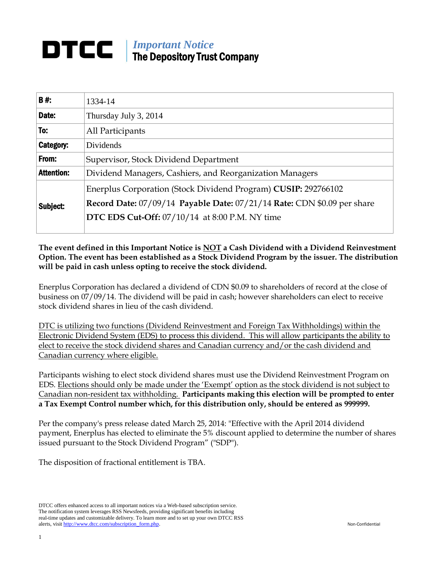## *Important Notice* DTCC. The Depository Trust Company

| <b>B#:</b>        | 1334-14                                                                                                                          |  |
|-------------------|----------------------------------------------------------------------------------------------------------------------------------|--|
| Date:             | Thursday July 3, 2014                                                                                                            |  |
| To:               | All Participants                                                                                                                 |  |
| Category:         | Dividends                                                                                                                        |  |
| From:             | Supervisor, Stock Dividend Department                                                                                            |  |
| <b>Attention:</b> | Dividend Managers, Cashiers, and Reorganization Managers                                                                         |  |
| Subject:          | Enerplus Corporation (Stock Dividend Program) CUSIP: 292766102                                                                   |  |
|                   | Record Date: 07/09/14 Payable Date: 07/21/14 Rate: CDN \$0.09 per share<br><b>DTC EDS Cut-Off:</b> 07/10/14 at 8:00 P.M. NY time |  |
|                   |                                                                                                                                  |  |

**The event defined in this Important Notice is NOT a Cash Dividend with a Dividend Reinvestment Option. The event has been established as a Stock Dividend Program by the issuer. The distribution will be paid in cash unless opting to receive the stock dividend.** 

Enerplus Corporation has declared a dividend of CDN \$0.09 to shareholders of record at the close of business on 07/09/14. The dividend will be paid in cash; however shareholders can elect to receive stock dividend shares in lieu of the cash dividend.

DTC is utilizing two functions (Dividend Reinvestment and Foreign Tax Withholdings) within the Electronic Dividend System (EDS) to process this dividend. This will allow participants the ability to elect to receive the stock dividend shares and Canadian currency and/or the cash dividend and Canadian currency where eligible.

Participants wishing to elect stock dividend shares must use the Dividend Reinvestment Program on EDS. Elections should only be made under the 'Exempt' option as the stock dividend is not subject to Canadian non-resident tax withholding. **Participants making this election will be prompted to enter a Tax Exempt Control number which, for this distribution only, should be entered as 999999.**

Per the company's press release dated March 25, 2014: "Effective with the April 2014 dividend payment, Enerplus has elected to eliminate the 5% discount applied to determine the number of shares issued pursuant to the Stock Dividend Program" ("SDP").

The disposition of fractional entitlement is TBA.

DTCC offers enhanced access to all important notices via a Web-based subscription service. The notification system leverages RSS Newsfeeds, providing significant benefits including real-time updates and customizable delivery. To learn more and to set up your own DTCC RSS alerts, visit http://www.dtcc.com/subscription\_form.php. Non-Confidential